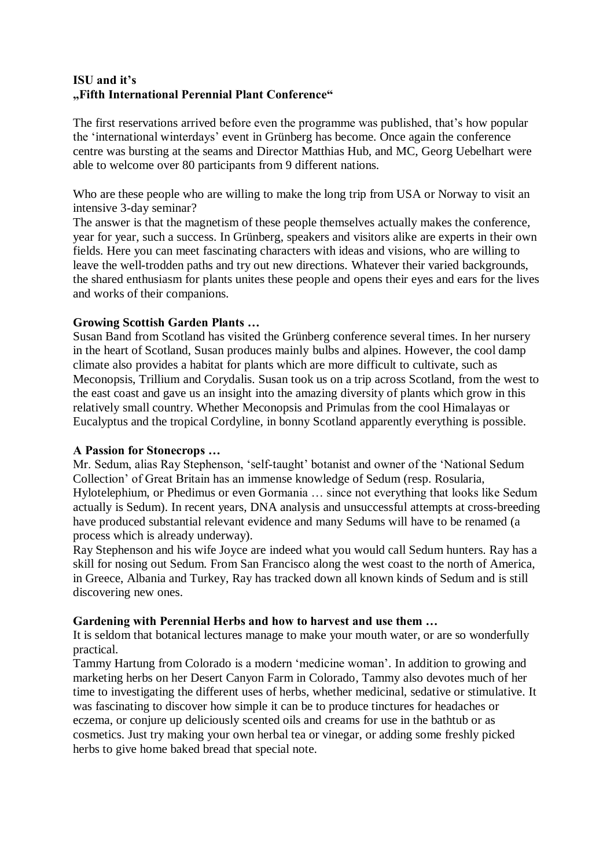# **ISU and it's "Fifth International Perennial Plant Conference"**

The first reservations arrived before even the programme was published, that's how popular the 'international winterdays' event in Grünberg has become. Once again the conference centre was bursting at the seams and Director Matthias Hub, and MC, Georg Uebelhart were able to welcome over 80 participants from 9 different nations.

Who are these people who are willing to make the long trip from USA or Norway to visit an intensive 3-day seminar?

The answer is that the magnetism of these people themselves actually makes the conference, year for year, such a success. In Grünberg, speakers and visitors alike are experts in their own fields. Here you can meet fascinating characters with ideas and visions, who are willing to leave the well-trodden paths and try out new directions. Whatever their varied backgrounds, the shared enthusiasm for plants unites these people and opens their eyes and ears for the lives and works of their companions.

### **Growing Scottish Garden Plants …**

Susan Band from Scotland has visited the Grünberg conference several times. In her nursery in the heart of Scotland, Susan produces mainly bulbs and alpines. However, the cool damp climate also provides a habitat for plants which are more difficult to cultivate, such as Meconopsis, Trillium and Corydalis. Susan took us on a trip across Scotland, from the west to the east coast and gave us an insight into the amazing diversity of plants which grow in this relatively small country. Whether Meconopsis and Primulas from the cool Himalayas or Eucalyptus and the tropical Cordyline, in bonny Scotland apparently everything is possible.

#### **A Passion for Stonecrops …**

Mr. Sedum, alias Ray Stephenson, 'self-taught' botanist and owner of the 'National Sedum Collection' of Great Britain has an immense knowledge of Sedum (resp. Rosularia, Hylotelephium, or Phedimus or even Gormania … since not everything that looks like Sedum actually is Sedum). In recent years, DNA analysis and unsuccessful attempts at cross-breeding have produced substantial relevant evidence and many Sedums will have to be renamed (a process which is already underway).

Ray Stephenson and his wife Joyce are indeed what you would call Sedum hunters. Ray has a skill for nosing out Sedum. From San Francisco along the west coast to the north of America, in Greece, Albania and Turkey, Ray has tracked down all known kinds of Sedum and is still discovering new ones.

# **Gardening with Perennial Herbs and how to harvest and use them …**

It is seldom that botanical lectures manage to make your mouth water, or are so wonderfully practical.

Tammy Hartung from Colorado is a modern 'medicine woman'. In addition to growing and marketing herbs on her Desert Canyon Farm in Colorado, Tammy also devotes much of her time to investigating the different uses of herbs, whether medicinal, sedative or stimulative. It was fascinating to discover how simple it can be to produce tinctures for headaches or eczema, or conjure up deliciously scented oils and creams for use in the bathtub or as cosmetics. Just try making your own herbal tea or vinegar, or adding some freshly picked herbs to give home baked bread that special note.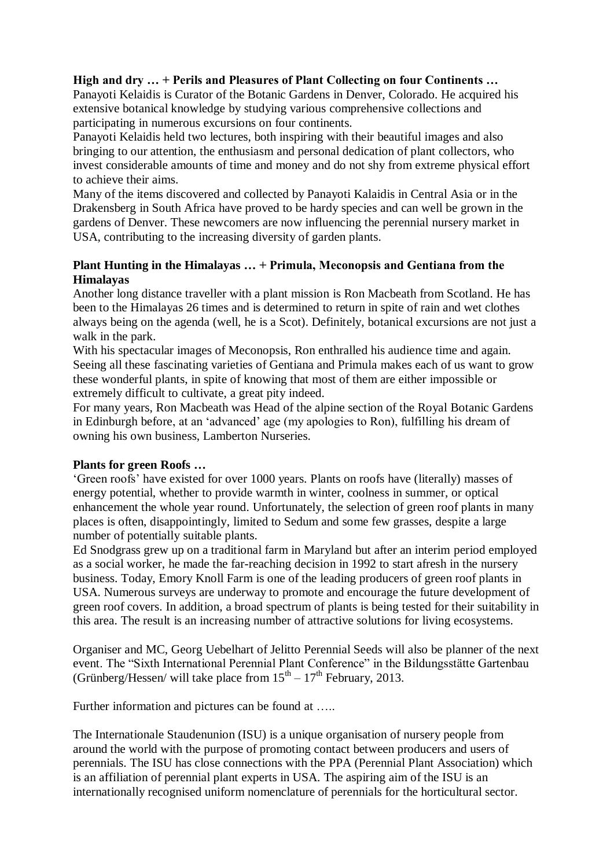## **High and dry … + Perils and Pleasures of Plant Collecting on four Continents …**

Panayoti Kelaidis is Curator of the Botanic Gardens in Denver, Colorado. He acquired his extensive botanical knowledge by studying various comprehensive collections and participating in numerous excursions on four continents.

Panayoti Kelaidis held two lectures, both inspiring with their beautiful images and also bringing to our attention, the enthusiasm and personal dedication of plant collectors, who invest considerable amounts of time and money and do not shy from extreme physical effort to achieve their aims.

Many of the items discovered and collected by Panayoti Kalaidis in Central Asia or in the Drakensberg in South Africa have proved to be hardy species and can well be grown in the gardens of Denver. These newcomers are now influencing the perennial nursery market in USA, contributing to the increasing diversity of garden plants.

### **Plant Hunting in the Himalayas … + Primula, Meconopsis and Gentiana from the Himalayas**

Another long distance traveller with a plant mission is Ron Macbeath from Scotland. He has been to the Himalayas 26 times and is determined to return in spite of rain and wet clothes always being on the agenda (well, he is a Scot). Definitely, botanical excursions are not just a walk in the park.

With his spectacular images of Meconopsis, Ron enthralled his audience time and again. Seeing all these fascinating varieties of Gentiana and Primula makes each of us want to grow these wonderful plants, in spite of knowing that most of them are either impossible or extremely difficult to cultivate, a great pity indeed.

For many years, Ron Macbeath was Head of the alpine section of the Royal Botanic Gardens in Edinburgh before, at an 'advanced' age (my apologies to Ron), fulfilling his dream of owning his own business, Lamberton Nurseries.

#### **Plants for green Roofs …**

'Green roofs' have existed for over 1000 years. Plants on roofs have (literally) masses of energy potential, whether to provide warmth in winter, coolness in summer, or optical enhancement the whole year round. Unfortunately, the selection of green roof plants in many places is often, disappointingly, limited to Sedum and some few grasses, despite a large number of potentially suitable plants.

Ed Snodgrass grew up on a traditional farm in Maryland but after an interim period employed as a social worker, he made the far-reaching decision in 1992 to start afresh in the nursery business. Today, Emory Knoll Farm is one of the leading producers of green roof plants in USA. Numerous surveys are underway to promote and encourage the future development of green roof covers. In addition, a broad spectrum of plants is being tested for their suitability in this area. The result is an increasing number of attractive solutions for living ecosystems.

Organiser and MC, Georg Uebelhart of Jelitto Perennial Seeds will also be planner of the next event. The "Sixth International Perennial Plant Conference" in the Bildungsstätte Gartenbau (Grünberg/Hessen/ will take place from  $15<sup>th</sup> - 17<sup>th</sup>$  February, 2013.

Further information and pictures can be found at .....

The Internationale Staudenunion (ISU) is a unique organisation of nursery people from around the world with the purpose of promoting contact between producers and users of perennials. The ISU has close connections with the PPA (Perennial Plant Association) which is an affiliation of perennial plant experts in USA. The aspiring aim of the ISU is an internationally recognised uniform nomenclature of perennials for the horticultural sector.